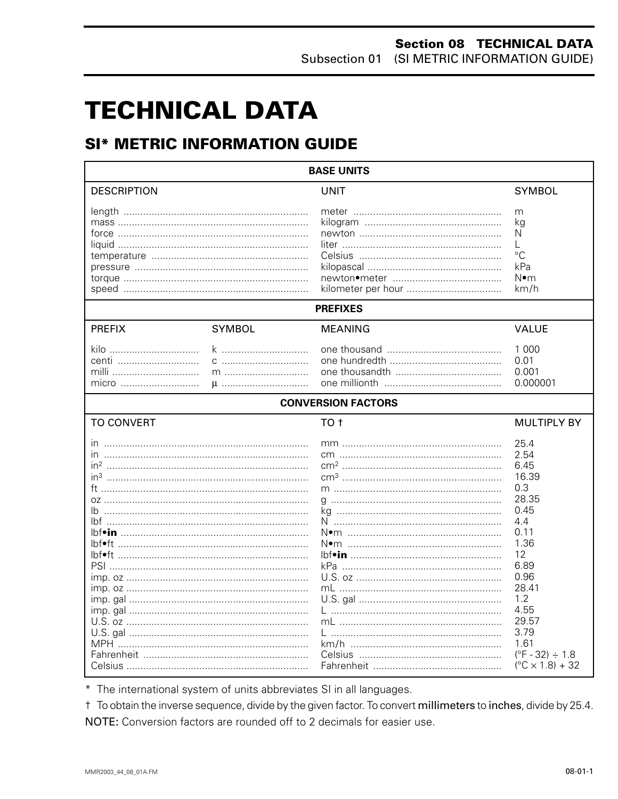# **TECHNICAL DATA**

# **SI\* METRIC INFORMATION GUIDE**

| <b>BASE UNITS</b>                                                                  |               |                           |                                                                                                                                                                                                                     |  |
|------------------------------------------------------------------------------------|---------------|---------------------------|---------------------------------------------------------------------------------------------------------------------------------------------------------------------------------------------------------------------|--|
| <b>DESCRIPTION</b>                                                                 |               | UNIT                      | <b>SYMBOL</b>                                                                                                                                                                                                       |  |
|                                                                                    |               |                           | m<br>kg<br>N<br>L<br>$\rm ^{\circ}C$<br>kPa<br>N∙m<br>km/h                                                                                                                                                          |  |
|                                                                                    |               | <b>PREFIXES</b>           |                                                                                                                                                                                                                     |  |
| <b>PREFIX</b>                                                                      | <b>SYMBOL</b> | <b>MEANING</b>            | <b>VALUE</b>                                                                                                                                                                                                        |  |
| kilo<br>centi<br>milli<br>micro                                                    | k<br>$\mu$    |                           | 1 0 0 0<br>0.01<br>0.001<br>0.000001                                                                                                                                                                                |  |
|                                                                                    |               | <b>CONVERSION FACTORS</b> |                                                                                                                                                                                                                     |  |
| <b>TO CONVERT</b>                                                                  |               | TO <sub>t</sub>           | <b>MULTIPLY BY</b>                                                                                                                                                                                                  |  |
| $\mathsf{I} \mathsf{n}$<br>in <sup>3</sup><br>Ib<br>lbf•ft …………………………………………………………… |               |                           | 25.4<br>2.54<br>6.45<br>16.39<br>0.3<br>28.35<br>0.45<br>4.4<br>0.11<br>1.36<br>12<br>6.89<br>0.96<br>28.41<br>1.2<br>4.55<br>29.57<br>3.79<br>1.61<br>$(^{\circ}F - 32) \div 1.8$<br>$(^{\circ}C \times 1.8) + 32$ |  |

\* The international system of units abbreviates SI in all languages.

t To obtain the inverse sequence, divide by the given factor. To convert millimeters to inches, divide by 25.4. NOTE: Conversion factors are rounded off to 2 decimals for easier use.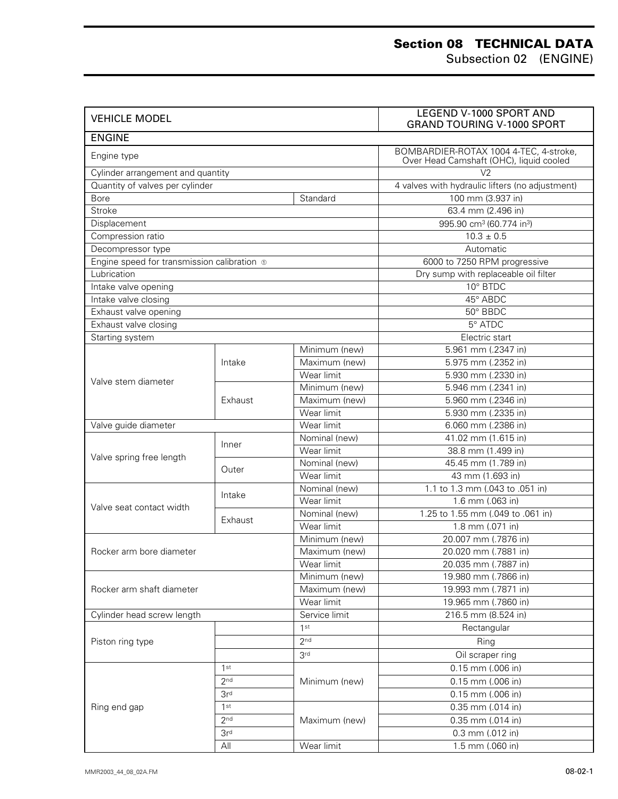# **Section 08 TECHNICAL DATA**

Subsection 02 (ENGINE)

| <b>VEHICLE MODEL</b>                        |                 |                                    | LEGEND V-1000 SPORT AND<br><b>GRAND TOURING V-1000 SPORT</b>                      |  |
|---------------------------------------------|-----------------|------------------------------------|-----------------------------------------------------------------------------------|--|
| <b>ENGINE</b>                               |                 |                                    |                                                                                   |  |
| Engine type                                 |                 |                                    | BOMBARDIER-ROTAX 1004 4-TEC, 4-stroke,<br>Over Head Camshaft (OHC), liquid cooled |  |
| Cylinder arrangement and quantity           |                 |                                    | V <sub>2</sub>                                                                    |  |
| Quantity of valves per cylinder             |                 |                                    | 4 valves with hydraulic lifters (no adjustment)                                   |  |
| Bore                                        |                 | Standard                           | 100 mm (3.937 in)                                                                 |  |
| <b>Stroke</b>                               |                 |                                    | 63.4 mm (2.496 in)                                                                |  |
| Displacement                                |                 |                                    | 995.90 cm <sup>3</sup> (60.774 in <sup>3</sup> )                                  |  |
| Compression ratio                           |                 |                                    | $10.3 \pm 0.5$                                                                    |  |
| Decompressor type                           |                 |                                    | Automatic                                                                         |  |
| Engine speed for transmission calibration o |                 |                                    | 6000 to 7250 RPM progressive                                                      |  |
| Lubrication                                 |                 |                                    | Dry sump with replaceable oil filter                                              |  |
| Intake valve opening                        |                 |                                    | 10° BTDC                                                                          |  |
| Intake valve closing                        |                 |                                    | 45° ABDC                                                                          |  |
| Exhaust valve opening                       |                 |                                    | 50° BBDC                                                                          |  |
| Exhaust valve closing                       |                 |                                    | 5° ATDC                                                                           |  |
| Starting system                             |                 |                                    | Electric start                                                                    |  |
|                                             |                 | Minimum (new)                      | 5.961 mm (.2347 in)                                                               |  |
|                                             | Intake          | Maximum (new)                      | 5.975 mm (.2352 in)                                                               |  |
| Valve stem diameter                         |                 | Wear limit                         | 5.930 mm (.2330 in)                                                               |  |
|                                             |                 | Minimum (new)                      | 5.946 mm (.2341 in)                                                               |  |
|                                             | Exhaust         | Maximum (new)                      | 5.960 mm (.2346 in)                                                               |  |
|                                             |                 | Wear limit                         | 5.930 mm (.2335 in)                                                               |  |
| Valve guide diameter                        |                 | Wear limit                         | 6.060 mm (.2386 in)                                                               |  |
|                                             | Inner           | Nominal (new)                      | 41.02 mm (1.615 in)                                                               |  |
| Valve spring free length                    |                 | Wear limit                         | 38.8 mm (1.499 in)                                                                |  |
|                                             | Outer           | Nominal (new)                      | 45.45 mm (1.789 in)                                                               |  |
|                                             |                 | Wear limit                         | 43 mm (1.693 in)                                                                  |  |
|                                             | Intake          | Nominal (new)                      | 1.1 to 1.3 mm (.043 to .051 in)                                                   |  |
| Valve seat contact width                    |                 | Wear limit                         | $1.6$ mm $(.063$ in)                                                              |  |
|                                             | Exhaust         | Nominal (new)                      | 1.25 to 1.55 mm (.049 to .061 in)                                                 |  |
|                                             |                 | Wear limit                         | 1.8 mm (.071 in)                                                                  |  |
|                                             |                 | Minimum (new)                      | 20.007 mm (.7876 in)                                                              |  |
| Rocker arm bore diameter                    |                 | Maximum (new)                      | 20.020 mm (.7881 in)                                                              |  |
|                                             |                 | Wear limit                         | 20.035 mm (.7887 in)                                                              |  |
|                                             |                 | Minimum (new)                      | 19.980 mm (.7866 in)                                                              |  |
| Rocker arm shaft diameter                   |                 | Maximum (new)                      | 19.993 mm (.7871 in)                                                              |  |
|                                             |                 | Wear limit                         | 19.965 mm (.7860 in)                                                              |  |
| Cylinder head screw length                  |                 | Service limit                      | 216.5 mm (8.524 in)                                                               |  |
|                                             |                 | 1st                                | Rectangular                                                                       |  |
| Piston ring type                            |                 | 2 <sub>nd</sub>                    | Ring                                                                              |  |
|                                             |                 | 3 <sup>rd</sup>                    | Oil scraper ring                                                                  |  |
|                                             | 1st             |                                    | 0.15 mm (.006 in)                                                                 |  |
| 2 <sup>nd</sup>                             |                 | Minimum (new)                      | 0.15 mm (.006 in)                                                                 |  |
|                                             | 3r <sup>d</sup> |                                    | 0.15 mm (.006 in)                                                                 |  |
| Ring end gap                                | 1st             |                                    | 0.35 mm (.014 in)                                                                 |  |
|                                             | 2nd             | 0.35 mm (.014 in)<br>Maximum (new) |                                                                                   |  |
|                                             | 3r <sup>d</sup> |                                    | 0.3 mm (.012 in)                                                                  |  |
|                                             | All             | Wear limit                         | 1.5 mm (.060 in)                                                                  |  |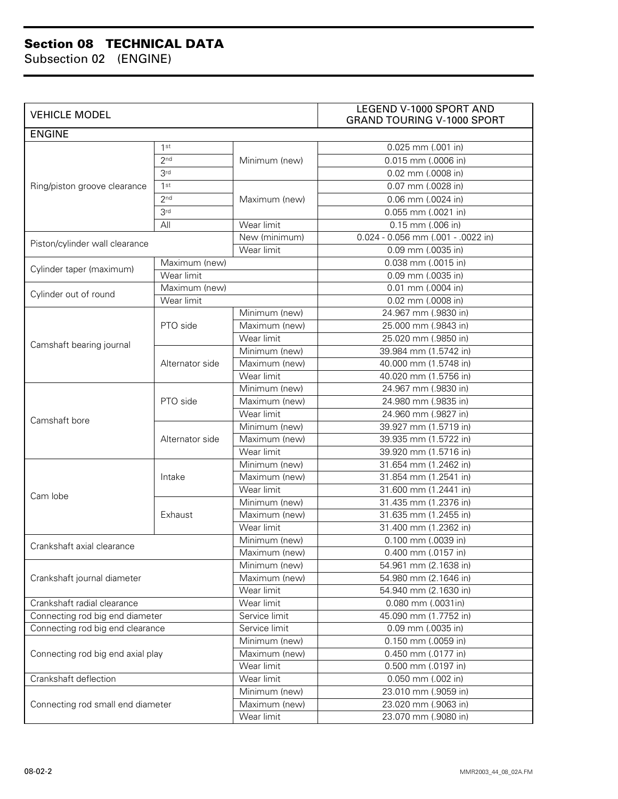### **Section 08 TECHNICAL DATA**

Subsection 02 (ENGINE)

| <b>ENGINE</b><br>0.025 mm (.001 in)<br>1st<br>2 <sub>nd</sub><br>0.015 mm (.0006 in)<br>Minimum (new)<br>3 <sup>rd</sup><br>0.02 mm (.0008 in)<br>1 <sup>st</sup><br>Ring/piston groove clearance<br>0.07 mm (.0028 in)<br>2 <sub>nd</sub><br>0.06 mm (.0024 in)<br>Maximum (new)<br>3 <sup>rd</sup><br>0.055 mm (.0021 in)<br>All<br>Wear limit<br>$0.15$ mm (.006 in)<br>0.024 - 0.056 mm (.001 - .0022 in)<br>New (minimum)<br>Piston/cylinder wall clearance<br>Wear limit<br>0.09 mm (.0035 in)<br>0.038 mm (.0015 in)<br>Maximum (new)<br>Cylinder taper (maximum)<br>Wear limit<br>0.09 mm (.0035 in)<br>Maximum (new)<br>$0.01$ mm (.0004 in)<br>Cylinder out of round<br>Wear limit<br>$0.02$ mm $(.0008$ in)<br>Minimum (new)<br>24.967 mm (.9830 in)<br>Maximum (new)<br>25.000 mm (.9843 in)<br>PTO side<br>Wear limit<br>25.020 mm (.9850 in)<br>Camshaft bearing journal<br>Minimum (new)<br>39.984 mm (1.5742 in)<br>40.000 mm (1.5748 in)<br>Maximum (new)<br>Alternator side<br>Wear limit<br>40.020 mm (1.5756 in)<br>Minimum (new)<br>24.967 mm (.9830 in)<br>Maximum (new)<br>24.980 mm (.9835 in)<br>PTO side<br>Wear limit<br>24.960 mm (.9827 in)<br>Camshaft bore<br>Minimum (new)<br>39.927 mm (1.5719 in)<br>Maximum (new)<br>39.935 mm (1.5722 in)<br>Alternator side<br>Wear limit<br>39.920 mm (1.5716 in)<br>Minimum (new)<br>31.654 mm (1.2462 in)<br>Maximum (new)<br>31.854 mm (1.2541 in)<br>Intake<br>Wear limit<br>31.600 mm (1.2441 in)<br>Cam lobe<br>Minimum (new)<br>31.435 mm (1.2376 in)<br>31.635 mm (1.2455 in)<br>Exhaust<br>Maximum (new)<br>31.400 mm (1.2362 in)<br>Wear limit<br>Minimum (new)<br>0.100 mm (.0039 in)<br>Crankshaft axial clearance<br>Maximum (new)<br>0.400 mm (.0157 in)<br>Minimum (new)<br>54.961 mm (2.1638 in)<br>Crankshaft journal diameter<br>Maximum (new)<br>54.980 mm (2.1646 in)<br>Wear limit<br>54.940 mm (2.1630 in)<br>Wear limit<br>Crankshaft radial clearance<br>0.080 mm (.0031in)<br>Connecting rod big end diameter<br>Service limit<br>45.090 mm (1.7752 in)<br>Connecting rod big end clearance<br>Service limit<br>0.09 mm (.0035 in)<br>Minimum (new)<br>0.150 mm (.0059 in)<br>Maximum (new)<br>Connecting rod big end axial play<br>0.450 mm (.0177 in)<br>Wear limit<br>0.500 mm (.0197 in)<br>Wear limit<br>Crankshaft deflection<br>0.050 mm (.002 in)<br>Minimum (new)<br>23.010 mm (.9059 in)<br>Connecting rod small end diameter<br>Maximum (new)<br>23.020 mm (.9063 in)<br>Wear limit<br>23.070 mm (.9080 in) | <b>VEHICLE MODEL</b> |  |  | LEGEND V-1000 SPORT AND<br><b>GRAND TOURING V-1000 SPORT</b> |  |
|-----------------------------------------------------------------------------------------------------------------------------------------------------------------------------------------------------------------------------------------------------------------------------------------------------------------------------------------------------------------------------------------------------------------------------------------------------------------------------------------------------------------------------------------------------------------------------------------------------------------------------------------------------------------------------------------------------------------------------------------------------------------------------------------------------------------------------------------------------------------------------------------------------------------------------------------------------------------------------------------------------------------------------------------------------------------------------------------------------------------------------------------------------------------------------------------------------------------------------------------------------------------------------------------------------------------------------------------------------------------------------------------------------------------------------------------------------------------------------------------------------------------------------------------------------------------------------------------------------------------------------------------------------------------------------------------------------------------------------------------------------------------------------------------------------------------------------------------------------------------------------------------------------------------------------------------------------------------------------------------------------------------------------------------------------------------------------------------------------------------------------------------------------------------------------------------------------------------------------------------------------------------------------------------------------------------------------------------------------------------------------------------------------------------------------------------------------------------------------------------------------------------------|----------------------|--|--|--------------------------------------------------------------|--|
|                                                                                                                                                                                                                                                                                                                                                                                                                                                                                                                                                                                                                                                                                                                                                                                                                                                                                                                                                                                                                                                                                                                                                                                                                                                                                                                                                                                                                                                                                                                                                                                                                                                                                                                                                                                                                                                                                                                                                                                                                                                                                                                                                                                                                                                                                                                                                                                                                                                                                                                       |                      |  |  |                                                              |  |
|                                                                                                                                                                                                                                                                                                                                                                                                                                                                                                                                                                                                                                                                                                                                                                                                                                                                                                                                                                                                                                                                                                                                                                                                                                                                                                                                                                                                                                                                                                                                                                                                                                                                                                                                                                                                                                                                                                                                                                                                                                                                                                                                                                                                                                                                                                                                                                                                                                                                                                                       |                      |  |  |                                                              |  |
|                                                                                                                                                                                                                                                                                                                                                                                                                                                                                                                                                                                                                                                                                                                                                                                                                                                                                                                                                                                                                                                                                                                                                                                                                                                                                                                                                                                                                                                                                                                                                                                                                                                                                                                                                                                                                                                                                                                                                                                                                                                                                                                                                                                                                                                                                                                                                                                                                                                                                                                       |                      |  |  |                                                              |  |
|                                                                                                                                                                                                                                                                                                                                                                                                                                                                                                                                                                                                                                                                                                                                                                                                                                                                                                                                                                                                                                                                                                                                                                                                                                                                                                                                                                                                                                                                                                                                                                                                                                                                                                                                                                                                                                                                                                                                                                                                                                                                                                                                                                                                                                                                                                                                                                                                                                                                                                                       |                      |  |  |                                                              |  |
|                                                                                                                                                                                                                                                                                                                                                                                                                                                                                                                                                                                                                                                                                                                                                                                                                                                                                                                                                                                                                                                                                                                                                                                                                                                                                                                                                                                                                                                                                                                                                                                                                                                                                                                                                                                                                                                                                                                                                                                                                                                                                                                                                                                                                                                                                                                                                                                                                                                                                                                       |                      |  |  |                                                              |  |
|                                                                                                                                                                                                                                                                                                                                                                                                                                                                                                                                                                                                                                                                                                                                                                                                                                                                                                                                                                                                                                                                                                                                                                                                                                                                                                                                                                                                                                                                                                                                                                                                                                                                                                                                                                                                                                                                                                                                                                                                                                                                                                                                                                                                                                                                                                                                                                                                                                                                                                                       |                      |  |  |                                                              |  |
|                                                                                                                                                                                                                                                                                                                                                                                                                                                                                                                                                                                                                                                                                                                                                                                                                                                                                                                                                                                                                                                                                                                                                                                                                                                                                                                                                                                                                                                                                                                                                                                                                                                                                                                                                                                                                                                                                                                                                                                                                                                                                                                                                                                                                                                                                                                                                                                                                                                                                                                       |                      |  |  |                                                              |  |
|                                                                                                                                                                                                                                                                                                                                                                                                                                                                                                                                                                                                                                                                                                                                                                                                                                                                                                                                                                                                                                                                                                                                                                                                                                                                                                                                                                                                                                                                                                                                                                                                                                                                                                                                                                                                                                                                                                                                                                                                                                                                                                                                                                                                                                                                                                                                                                                                                                                                                                                       |                      |  |  |                                                              |  |
|                                                                                                                                                                                                                                                                                                                                                                                                                                                                                                                                                                                                                                                                                                                                                                                                                                                                                                                                                                                                                                                                                                                                                                                                                                                                                                                                                                                                                                                                                                                                                                                                                                                                                                                                                                                                                                                                                                                                                                                                                                                                                                                                                                                                                                                                                                                                                                                                                                                                                                                       |                      |  |  |                                                              |  |
|                                                                                                                                                                                                                                                                                                                                                                                                                                                                                                                                                                                                                                                                                                                                                                                                                                                                                                                                                                                                                                                                                                                                                                                                                                                                                                                                                                                                                                                                                                                                                                                                                                                                                                                                                                                                                                                                                                                                                                                                                                                                                                                                                                                                                                                                                                                                                                                                                                                                                                                       |                      |  |  |                                                              |  |
|                                                                                                                                                                                                                                                                                                                                                                                                                                                                                                                                                                                                                                                                                                                                                                                                                                                                                                                                                                                                                                                                                                                                                                                                                                                                                                                                                                                                                                                                                                                                                                                                                                                                                                                                                                                                                                                                                                                                                                                                                                                                                                                                                                                                                                                                                                                                                                                                                                                                                                                       |                      |  |  |                                                              |  |
|                                                                                                                                                                                                                                                                                                                                                                                                                                                                                                                                                                                                                                                                                                                                                                                                                                                                                                                                                                                                                                                                                                                                                                                                                                                                                                                                                                                                                                                                                                                                                                                                                                                                                                                                                                                                                                                                                                                                                                                                                                                                                                                                                                                                                                                                                                                                                                                                                                                                                                                       |                      |  |  |                                                              |  |
|                                                                                                                                                                                                                                                                                                                                                                                                                                                                                                                                                                                                                                                                                                                                                                                                                                                                                                                                                                                                                                                                                                                                                                                                                                                                                                                                                                                                                                                                                                                                                                                                                                                                                                                                                                                                                                                                                                                                                                                                                                                                                                                                                                                                                                                                                                                                                                                                                                                                                                                       |                      |  |  |                                                              |  |
|                                                                                                                                                                                                                                                                                                                                                                                                                                                                                                                                                                                                                                                                                                                                                                                                                                                                                                                                                                                                                                                                                                                                                                                                                                                                                                                                                                                                                                                                                                                                                                                                                                                                                                                                                                                                                                                                                                                                                                                                                                                                                                                                                                                                                                                                                                                                                                                                                                                                                                                       |                      |  |  |                                                              |  |
|                                                                                                                                                                                                                                                                                                                                                                                                                                                                                                                                                                                                                                                                                                                                                                                                                                                                                                                                                                                                                                                                                                                                                                                                                                                                                                                                                                                                                                                                                                                                                                                                                                                                                                                                                                                                                                                                                                                                                                                                                                                                                                                                                                                                                                                                                                                                                                                                                                                                                                                       |                      |  |  |                                                              |  |
|                                                                                                                                                                                                                                                                                                                                                                                                                                                                                                                                                                                                                                                                                                                                                                                                                                                                                                                                                                                                                                                                                                                                                                                                                                                                                                                                                                                                                                                                                                                                                                                                                                                                                                                                                                                                                                                                                                                                                                                                                                                                                                                                                                                                                                                                                                                                                                                                                                                                                                                       |                      |  |  |                                                              |  |
|                                                                                                                                                                                                                                                                                                                                                                                                                                                                                                                                                                                                                                                                                                                                                                                                                                                                                                                                                                                                                                                                                                                                                                                                                                                                                                                                                                                                                                                                                                                                                                                                                                                                                                                                                                                                                                                                                                                                                                                                                                                                                                                                                                                                                                                                                                                                                                                                                                                                                                                       |                      |  |  |                                                              |  |
|                                                                                                                                                                                                                                                                                                                                                                                                                                                                                                                                                                                                                                                                                                                                                                                                                                                                                                                                                                                                                                                                                                                                                                                                                                                                                                                                                                                                                                                                                                                                                                                                                                                                                                                                                                                                                                                                                                                                                                                                                                                                                                                                                                                                                                                                                                                                                                                                                                                                                                                       |                      |  |  |                                                              |  |
|                                                                                                                                                                                                                                                                                                                                                                                                                                                                                                                                                                                                                                                                                                                                                                                                                                                                                                                                                                                                                                                                                                                                                                                                                                                                                                                                                                                                                                                                                                                                                                                                                                                                                                                                                                                                                                                                                                                                                                                                                                                                                                                                                                                                                                                                                                                                                                                                                                                                                                                       |                      |  |  |                                                              |  |
|                                                                                                                                                                                                                                                                                                                                                                                                                                                                                                                                                                                                                                                                                                                                                                                                                                                                                                                                                                                                                                                                                                                                                                                                                                                                                                                                                                                                                                                                                                                                                                                                                                                                                                                                                                                                                                                                                                                                                                                                                                                                                                                                                                                                                                                                                                                                                                                                                                                                                                                       |                      |  |  |                                                              |  |
|                                                                                                                                                                                                                                                                                                                                                                                                                                                                                                                                                                                                                                                                                                                                                                                                                                                                                                                                                                                                                                                                                                                                                                                                                                                                                                                                                                                                                                                                                                                                                                                                                                                                                                                                                                                                                                                                                                                                                                                                                                                                                                                                                                                                                                                                                                                                                                                                                                                                                                                       |                      |  |  |                                                              |  |
|                                                                                                                                                                                                                                                                                                                                                                                                                                                                                                                                                                                                                                                                                                                                                                                                                                                                                                                                                                                                                                                                                                                                                                                                                                                                                                                                                                                                                                                                                                                                                                                                                                                                                                                                                                                                                                                                                                                                                                                                                                                                                                                                                                                                                                                                                                                                                                                                                                                                                                                       |                      |  |  |                                                              |  |
|                                                                                                                                                                                                                                                                                                                                                                                                                                                                                                                                                                                                                                                                                                                                                                                                                                                                                                                                                                                                                                                                                                                                                                                                                                                                                                                                                                                                                                                                                                                                                                                                                                                                                                                                                                                                                                                                                                                                                                                                                                                                                                                                                                                                                                                                                                                                                                                                                                                                                                                       |                      |  |  |                                                              |  |
|                                                                                                                                                                                                                                                                                                                                                                                                                                                                                                                                                                                                                                                                                                                                                                                                                                                                                                                                                                                                                                                                                                                                                                                                                                                                                                                                                                                                                                                                                                                                                                                                                                                                                                                                                                                                                                                                                                                                                                                                                                                                                                                                                                                                                                                                                                                                                                                                                                                                                                                       |                      |  |  |                                                              |  |
|                                                                                                                                                                                                                                                                                                                                                                                                                                                                                                                                                                                                                                                                                                                                                                                                                                                                                                                                                                                                                                                                                                                                                                                                                                                                                                                                                                                                                                                                                                                                                                                                                                                                                                                                                                                                                                                                                                                                                                                                                                                                                                                                                                                                                                                                                                                                                                                                                                                                                                                       |                      |  |  |                                                              |  |
|                                                                                                                                                                                                                                                                                                                                                                                                                                                                                                                                                                                                                                                                                                                                                                                                                                                                                                                                                                                                                                                                                                                                                                                                                                                                                                                                                                                                                                                                                                                                                                                                                                                                                                                                                                                                                                                                                                                                                                                                                                                                                                                                                                                                                                                                                                                                                                                                                                                                                                                       |                      |  |  |                                                              |  |
|                                                                                                                                                                                                                                                                                                                                                                                                                                                                                                                                                                                                                                                                                                                                                                                                                                                                                                                                                                                                                                                                                                                                                                                                                                                                                                                                                                                                                                                                                                                                                                                                                                                                                                                                                                                                                                                                                                                                                                                                                                                                                                                                                                                                                                                                                                                                                                                                                                                                                                                       |                      |  |  |                                                              |  |
|                                                                                                                                                                                                                                                                                                                                                                                                                                                                                                                                                                                                                                                                                                                                                                                                                                                                                                                                                                                                                                                                                                                                                                                                                                                                                                                                                                                                                                                                                                                                                                                                                                                                                                                                                                                                                                                                                                                                                                                                                                                                                                                                                                                                                                                                                                                                                                                                                                                                                                                       |                      |  |  |                                                              |  |
|                                                                                                                                                                                                                                                                                                                                                                                                                                                                                                                                                                                                                                                                                                                                                                                                                                                                                                                                                                                                                                                                                                                                                                                                                                                                                                                                                                                                                                                                                                                                                                                                                                                                                                                                                                                                                                                                                                                                                                                                                                                                                                                                                                                                                                                                                                                                                                                                                                                                                                                       |                      |  |  |                                                              |  |
|                                                                                                                                                                                                                                                                                                                                                                                                                                                                                                                                                                                                                                                                                                                                                                                                                                                                                                                                                                                                                                                                                                                                                                                                                                                                                                                                                                                                                                                                                                                                                                                                                                                                                                                                                                                                                                                                                                                                                                                                                                                                                                                                                                                                                                                                                                                                                                                                                                                                                                                       |                      |  |  |                                                              |  |
|                                                                                                                                                                                                                                                                                                                                                                                                                                                                                                                                                                                                                                                                                                                                                                                                                                                                                                                                                                                                                                                                                                                                                                                                                                                                                                                                                                                                                                                                                                                                                                                                                                                                                                                                                                                                                                                                                                                                                                                                                                                                                                                                                                                                                                                                                                                                                                                                                                                                                                                       |                      |  |  |                                                              |  |
|                                                                                                                                                                                                                                                                                                                                                                                                                                                                                                                                                                                                                                                                                                                                                                                                                                                                                                                                                                                                                                                                                                                                                                                                                                                                                                                                                                                                                                                                                                                                                                                                                                                                                                                                                                                                                                                                                                                                                                                                                                                                                                                                                                                                                                                                                                                                                                                                                                                                                                                       |                      |  |  |                                                              |  |
|                                                                                                                                                                                                                                                                                                                                                                                                                                                                                                                                                                                                                                                                                                                                                                                                                                                                                                                                                                                                                                                                                                                                                                                                                                                                                                                                                                                                                                                                                                                                                                                                                                                                                                                                                                                                                                                                                                                                                                                                                                                                                                                                                                                                                                                                                                                                                                                                                                                                                                                       |                      |  |  |                                                              |  |
|                                                                                                                                                                                                                                                                                                                                                                                                                                                                                                                                                                                                                                                                                                                                                                                                                                                                                                                                                                                                                                                                                                                                                                                                                                                                                                                                                                                                                                                                                                                                                                                                                                                                                                                                                                                                                                                                                                                                                                                                                                                                                                                                                                                                                                                                                                                                                                                                                                                                                                                       |                      |  |  |                                                              |  |
|                                                                                                                                                                                                                                                                                                                                                                                                                                                                                                                                                                                                                                                                                                                                                                                                                                                                                                                                                                                                                                                                                                                                                                                                                                                                                                                                                                                                                                                                                                                                                                                                                                                                                                                                                                                                                                                                                                                                                                                                                                                                                                                                                                                                                                                                                                                                                                                                                                                                                                                       |                      |  |  |                                                              |  |
|                                                                                                                                                                                                                                                                                                                                                                                                                                                                                                                                                                                                                                                                                                                                                                                                                                                                                                                                                                                                                                                                                                                                                                                                                                                                                                                                                                                                                                                                                                                                                                                                                                                                                                                                                                                                                                                                                                                                                                                                                                                                                                                                                                                                                                                                                                                                                                                                                                                                                                                       |                      |  |  |                                                              |  |
|                                                                                                                                                                                                                                                                                                                                                                                                                                                                                                                                                                                                                                                                                                                                                                                                                                                                                                                                                                                                                                                                                                                                                                                                                                                                                                                                                                                                                                                                                                                                                                                                                                                                                                                                                                                                                                                                                                                                                                                                                                                                                                                                                                                                                                                                                                                                                                                                                                                                                                                       |                      |  |  |                                                              |  |
|                                                                                                                                                                                                                                                                                                                                                                                                                                                                                                                                                                                                                                                                                                                                                                                                                                                                                                                                                                                                                                                                                                                                                                                                                                                                                                                                                                                                                                                                                                                                                                                                                                                                                                                                                                                                                                                                                                                                                                                                                                                                                                                                                                                                                                                                                                                                                                                                                                                                                                                       |                      |  |  |                                                              |  |
|                                                                                                                                                                                                                                                                                                                                                                                                                                                                                                                                                                                                                                                                                                                                                                                                                                                                                                                                                                                                                                                                                                                                                                                                                                                                                                                                                                                                                                                                                                                                                                                                                                                                                                                                                                                                                                                                                                                                                                                                                                                                                                                                                                                                                                                                                                                                                                                                                                                                                                                       |                      |  |  |                                                              |  |
|                                                                                                                                                                                                                                                                                                                                                                                                                                                                                                                                                                                                                                                                                                                                                                                                                                                                                                                                                                                                                                                                                                                                                                                                                                                                                                                                                                                                                                                                                                                                                                                                                                                                                                                                                                                                                                                                                                                                                                                                                                                                                                                                                                                                                                                                                                                                                                                                                                                                                                                       |                      |  |  |                                                              |  |
|                                                                                                                                                                                                                                                                                                                                                                                                                                                                                                                                                                                                                                                                                                                                                                                                                                                                                                                                                                                                                                                                                                                                                                                                                                                                                                                                                                                                                                                                                                                                                                                                                                                                                                                                                                                                                                                                                                                                                                                                                                                                                                                                                                                                                                                                                                                                                                                                                                                                                                                       |                      |  |  |                                                              |  |
|                                                                                                                                                                                                                                                                                                                                                                                                                                                                                                                                                                                                                                                                                                                                                                                                                                                                                                                                                                                                                                                                                                                                                                                                                                                                                                                                                                                                                                                                                                                                                                                                                                                                                                                                                                                                                                                                                                                                                                                                                                                                                                                                                                                                                                                                                                                                                                                                                                                                                                                       |                      |  |  |                                                              |  |
|                                                                                                                                                                                                                                                                                                                                                                                                                                                                                                                                                                                                                                                                                                                                                                                                                                                                                                                                                                                                                                                                                                                                                                                                                                                                                                                                                                                                                                                                                                                                                                                                                                                                                                                                                                                                                                                                                                                                                                                                                                                                                                                                                                                                                                                                                                                                                                                                                                                                                                                       |                      |  |  |                                                              |  |
|                                                                                                                                                                                                                                                                                                                                                                                                                                                                                                                                                                                                                                                                                                                                                                                                                                                                                                                                                                                                                                                                                                                                                                                                                                                                                                                                                                                                                                                                                                                                                                                                                                                                                                                                                                                                                                                                                                                                                                                                                                                                                                                                                                                                                                                                                                                                                                                                                                                                                                                       |                      |  |  |                                                              |  |
|                                                                                                                                                                                                                                                                                                                                                                                                                                                                                                                                                                                                                                                                                                                                                                                                                                                                                                                                                                                                                                                                                                                                                                                                                                                                                                                                                                                                                                                                                                                                                                                                                                                                                                                                                                                                                                                                                                                                                                                                                                                                                                                                                                                                                                                                                                                                                                                                                                                                                                                       |                      |  |  |                                                              |  |
|                                                                                                                                                                                                                                                                                                                                                                                                                                                                                                                                                                                                                                                                                                                                                                                                                                                                                                                                                                                                                                                                                                                                                                                                                                                                                                                                                                                                                                                                                                                                                                                                                                                                                                                                                                                                                                                                                                                                                                                                                                                                                                                                                                                                                                                                                                                                                                                                                                                                                                                       |                      |  |  |                                                              |  |
|                                                                                                                                                                                                                                                                                                                                                                                                                                                                                                                                                                                                                                                                                                                                                                                                                                                                                                                                                                                                                                                                                                                                                                                                                                                                                                                                                                                                                                                                                                                                                                                                                                                                                                                                                                                                                                                                                                                                                                                                                                                                                                                                                                                                                                                                                                                                                                                                                                                                                                                       |                      |  |  |                                                              |  |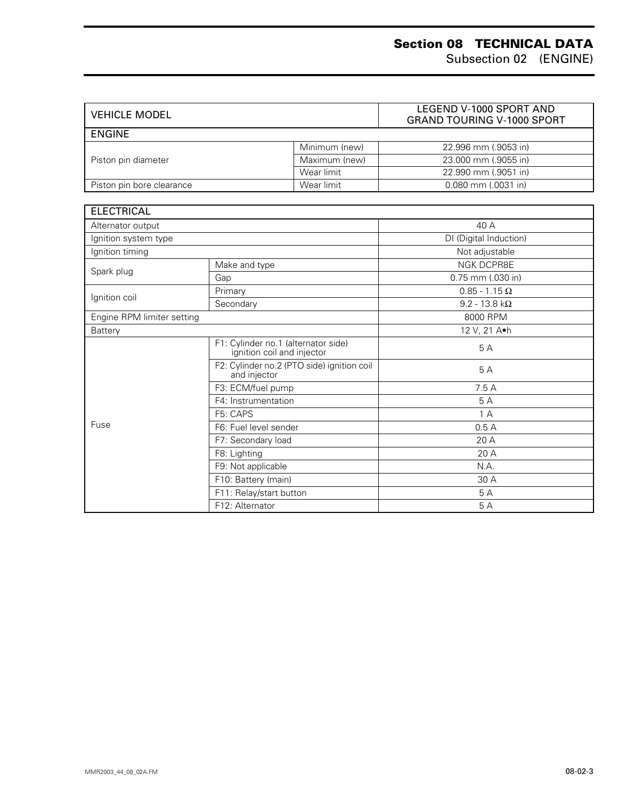| <b>VEHICLE MODEL</b>      |               | LEGEND V-1000 SPORT AND<br><b>GRAND TOURING V-1000 SPORT</b> |  |
|---------------------------|---------------|--------------------------------------------------------------|--|
| <b>ENGINE</b>             |               |                                                              |  |
|                           | Minimum (new) | 22.996 mm (.9053 in)                                         |  |
| Piston pin diameter       | Maximum (new) | 23,000 mm (.9055 in)                                         |  |
|                           | Wear limit    | 22.990 mm (.9051 in)                                         |  |
| Piston pin bore clearance | Wear limit    | $0.080$ mm $(.0031$ in)                                      |  |

| <b>ELECTRICAL</b>          |                                                                   |                         |  |
|----------------------------|-------------------------------------------------------------------|-------------------------|--|
| Alternator output          |                                                                   | 40 A                    |  |
| Ignition system type       |                                                                   | DI (Digital Induction)  |  |
| Ignition timing            |                                                                   | Not adjustable          |  |
| Spark plug                 | Make and type                                                     | <b>NGK DCPR8E</b>       |  |
|                            | Gap                                                               | 0.75 mm (.030 in)       |  |
|                            | Primary                                                           | $0.85 - 1.15 \Omega$    |  |
| Ignition coil              | Secondary                                                         | $9.2 - 13.8$ k $\Omega$ |  |
| Engine RPM limiter setting |                                                                   | 8000 RPM                |  |
| <b>Battery</b>             |                                                                   | 12 V, 21 A.h            |  |
|                            | F1: Cylinder no.1 (alternator side)<br>ignition coil and injector | 5A                      |  |
|                            | F2: Cylinder no.2 (PTO side) ignition coil<br>and injector        | 5A                      |  |
|                            | F3: ECM/fuel pump                                                 | 7.5 A                   |  |
|                            | F4: Instrumentation                                               | 5A                      |  |
|                            | F5: CAPS                                                          | 1A                      |  |
| Fuse                       | F6: Fuel level sender                                             | 0.5A                    |  |
|                            | F7: Secondary load                                                | 20 A                    |  |
|                            | F8: Lighting                                                      | 20A                     |  |
|                            | F9: Not applicable                                                | N.A.                    |  |
|                            | F10: Battery (main)                                               | 30 A                    |  |
|                            | F11: Relay/start button                                           | 5 A                     |  |
|                            | F12: Alternator                                                   | 5A                      |  |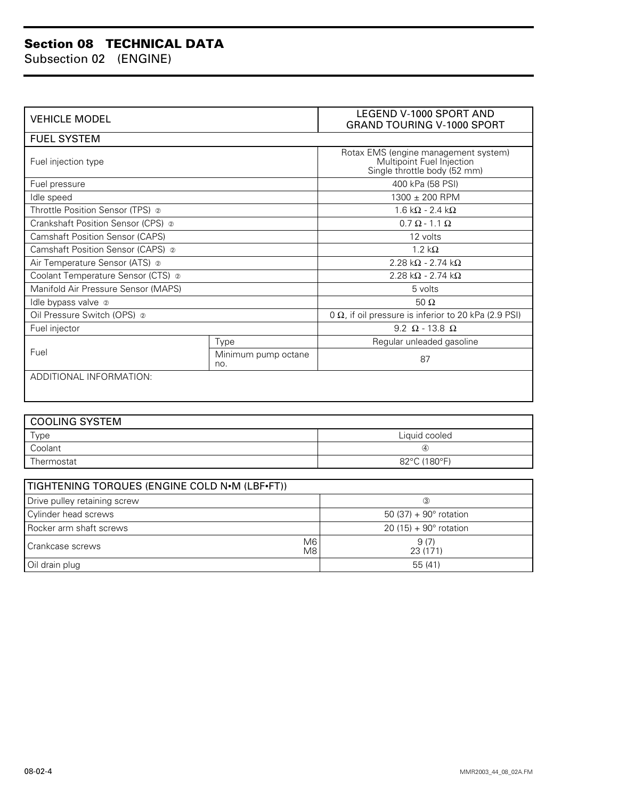#### **Section 08 TECHNICAL DATA**

Subsection 02 (ENGINE)

| <b>VEHICLE MODEL</b>                          | <b>LEGEND V-1000 SPORT AND</b><br><b>GRAND TOURING V-1000 SPORT</b> |                                                                                                   |  |  |  |
|-----------------------------------------------|---------------------------------------------------------------------|---------------------------------------------------------------------------------------------------|--|--|--|
| <b>FUEL SYSTEM</b>                            |                                                                     |                                                                                                   |  |  |  |
| Fuel injection type                           |                                                                     | Rotax EMS (engine management system)<br>Multipoint Fuel Injection<br>Single throttle body (52 mm) |  |  |  |
| Fuel pressure                                 |                                                                     | 400 kPa (58 PSI)                                                                                  |  |  |  |
| Idle speed                                    |                                                                     | 1300 ± 200 RPM                                                                                    |  |  |  |
| Throttle Position Sensor (TPS) @              |                                                                     | 1.6 k $\Omega$ - 2.4 k $\Omega$                                                                   |  |  |  |
| Crankshaft Position Sensor (CPS) @            |                                                                     | $0.7 \Omega - 1.1 \Omega$                                                                         |  |  |  |
| <b>Camshaft Position Sensor (CAPS)</b>        |                                                                     | 12 volts                                                                                          |  |  |  |
| Camshaft Position Sensor (CAPS) 2             |                                                                     | $1.2 k\Omega$                                                                                     |  |  |  |
| Air Temperature Sensor (ATS) @                |                                                                     | 2.28 k $\Omega$ - 2.74 k $\Omega$                                                                 |  |  |  |
| Coolant Temperature Sensor (CTS) @            |                                                                     | 2.28 k $\Omega$ - 2.74 k $\Omega$                                                                 |  |  |  |
| Manifold Air Pressure Sensor (MAPS)           |                                                                     | 5 volts                                                                                           |  |  |  |
| Idle bypass valve 2                           |                                                                     | 50 $\Omega$                                                                                       |  |  |  |
| Oil Pressure Switch (OPS) 2                   |                                                                     | 0 $\Omega$ , if oil pressure is inferior to 20 kPa (2.9 PSI)                                      |  |  |  |
| Fuel injector                                 |                                                                     | $9.2 \Omega - 13.8 \Omega$                                                                        |  |  |  |
|                                               | Type                                                                | Regular unleaded gasoline                                                                         |  |  |  |
| Fuel                                          | Minimum pump octane<br>no.                                          | 87                                                                                                |  |  |  |
| ADDITIONAL INFORMATION:                       |                                                                     |                                                                                                   |  |  |  |
|                                               |                                                                     |                                                                                                   |  |  |  |
| <b>COOLING SYSTEM</b>                         |                                                                     |                                                                                                   |  |  |  |
| Type                                          |                                                                     | Liquid cooled                                                                                     |  |  |  |
| Coolant                                       |                                                                     | $\circled{4}$                                                                                     |  |  |  |
| Thermostat                                    |                                                                     | 82°C (180°F)                                                                                      |  |  |  |
|                                               |                                                                     |                                                                                                   |  |  |  |
| TIGHTENING TORQUES (ENGINE COLD N.M (LBF.FT)) |                                                                     |                                                                                                   |  |  |  |

| TIGHTENING TORQUES (ENGINE COLD N•M (LBF•FT))           |                                |  |  |  |
|---------------------------------------------------------|--------------------------------|--|--|--|
| Drive pulley retaining screw                            | $\circled{3}$                  |  |  |  |
| Cylinder head screws<br>50 (37) + $90^{\circ}$ rotation |                                |  |  |  |
| Rocker arm shaft screws                                 | $20(15) + 90^{\circ}$ rotation |  |  |  |
| M6<br>Crankcase screws<br>M8                            | 9(7)<br>23 (171)               |  |  |  |
| Oil drain plug                                          | 55 (41)                        |  |  |  |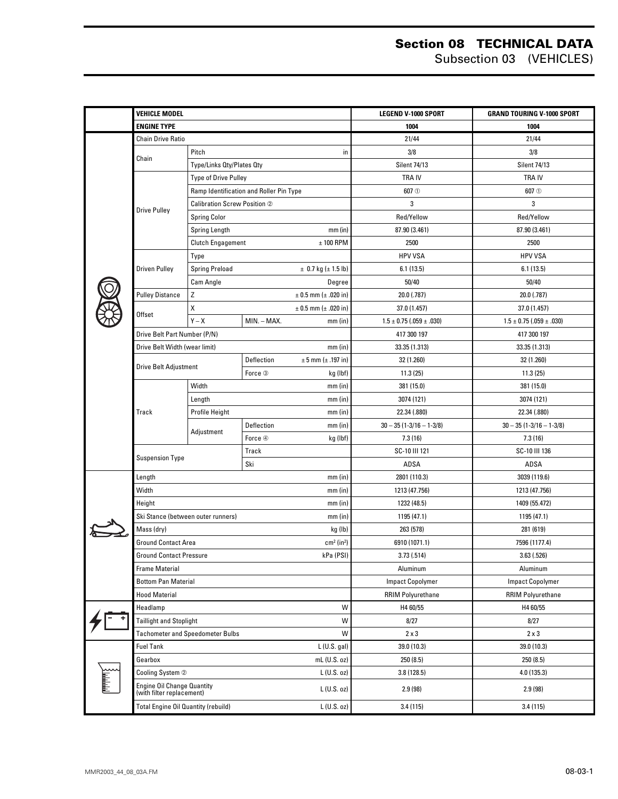#### **Section 08 TECHNICAL DATA** Subsection 03 (VEHICLES)

| VEHICLE MODEL                                               |                                     |                                              | <b>LEGEND V-1000 SPORT</b>       | <b>GRAND TOURING V-1000 SPORT</b> |
|-------------------------------------------------------------|-------------------------------------|----------------------------------------------|----------------------------------|-----------------------------------|
| <b>ENGINE TYPE</b>                                          |                                     |                                              | 1004                             | 1004                              |
| <b>Chain Drive Ratio</b>                                    |                                     |                                              | 21/44                            | 21/44                             |
|                                                             | Pitch                               | in                                           | 3/8                              | 3/8                               |
| Chain                                                       | Type/Links Qty/Plates Qty           |                                              | <b>Silent 74/13</b>              | <b>Silent 74/13</b>               |
|                                                             | Type of Drive Pulley                |                                              | <b>TRAIV</b>                     | <b>TRAIV</b>                      |
|                                                             |                                     | Ramp Identification and Roller Pin Type      | 607 <sub>0</sub>                 | 607 <sub>0</sub>                  |
|                                                             | <b>Calibration Screw Position 2</b> |                                              | 3                                | 3                                 |
| <b>Drive Pulley</b>                                         | <b>Spring Color</b>                 |                                              | Red/Yellow                       | Red/Yellow                        |
|                                                             | Spring Length                       | $mm$ (in)                                    | 87.90 (3.461)                    | 87.90 (3.461)                     |
|                                                             | <b>Clutch Engagement</b>            | $± 100$ RPM                                  | 2500                             | 2500                              |
|                                                             | Type                                |                                              | <b>HPV VSA</b>                   | <b>HPV VSA</b>                    |
| <b>Driven Pulley</b>                                        | <b>Spring Preload</b>               | $\pm$ 0.7 kg ( $\pm$ 1.5 lb)                 | 6.1(13.5)                        | 6.1(13.5)                         |
|                                                             | Cam Angle                           | Degree                                       | 50/40                            | 50/40                             |
| <b>Pulley Distance</b>                                      | Z                                   | $± 0.5$ mm ( $± .020$ in)                    | 20.0 (.787)                      | 20.0 (.787)                       |
|                                                             | χ                                   | $± 0.5$ mm ( $± .020$ in)                    | 37.0 (1.457)                     | 37.0 (1.457)                      |
| Offset                                                      | $Y - X$                             | MIN. - MAX.<br>$mm$ (in)                     | $1.5 \pm 0.75$ (.059 $\pm$ .030) | $1.5 \pm 0.75$ (.059 $\pm$ .030)  |
| Drive Belt Part Number (P/N)                                |                                     |                                              | 417 300 197                      | 417 300 197                       |
| Drive Belt Width (wear limit)                               |                                     | $mm$ (in)                                    | 33.35 (1.313)                    | 33.35 (1.313)                     |
|                                                             |                                     | <b>Deflection</b><br>$± 5$ mm ( $± .197$ in) | 32 (1.260)                       | 32 (1.260)                        |
| Drive Belt Adjustment                                       |                                     | Force 3<br>kg (lbf)                          | 11.3(25)                         | 11.3(25)                          |
|                                                             | Width                               | $mm$ (in)                                    | 381 (15.0)                       | 381 (15.0)                        |
|                                                             | Length                              | $mm$ (in)                                    | 3074 (121)                       | 3074 (121)                        |
| Track                                                       | Profile Height                      | $mm$ (in)                                    | 22.34 (.880)                     | 22.34 (.880)                      |
|                                                             |                                     | Deflection<br>$mm$ (in)                      | $30 - 35(1 - 3/16 - 1 - 3/8)$    | $30 - 35$ (1-3/16 - 1-3/8)        |
|                                                             | Adjustment                          | Force 4<br>kg (lbf)                          | 7.3(16)                          | 7.3(16)                           |
|                                                             |                                     | Track                                        | SC-10 III 121                    | SC-10 III 136                     |
| <b>Suspension Type</b>                                      |                                     | Ski                                          | ADSA                             | ADSA                              |
| Length<br>$mm$ (in)                                         |                                     | 2801 (110.3)                                 | 3039 (119.6)                     |                                   |
| Width                                                       |                                     | $mm$ (in)                                    | 1213 (47.756)                    | 1213 (47.756)                     |
| Height<br>$mm$ (in)                                         |                                     |                                              | 1232 (48.5)                      | 1409 (55.472)                     |
| Ski Stance (between outer runners)<br>$mm$ (in)             |                                     |                                              | 1195 (47.1)                      | 1195 (47.1)                       |
| Mass (dry)                                                  |                                     | kg (lb)                                      | 263 (578)                        | 281 (619)                         |
| <b>Ground Contact Area</b><br>$cm2$ (in <sup>2</sup> )      |                                     |                                              | 6910 (1071.1)                    | 7596 (1177.4)                     |
| Ground Contact Pressure                                     |                                     | kPa (PSI)                                    | 3.73 (.514)                      | 3.63 (.526)                       |
| <b>Frame Material</b>                                       |                                     |                                              | Aluminum                         | Aluminum                          |
| <b>Bottom Pan Material</b>                                  |                                     |                                              | <b>Impact Copolymer</b>          | <b>Impact Copolymer</b>           |
| <b>Hood Material</b>                                        |                                     |                                              | <b>RRIM Polyurethane</b>         | <b>RRIM Polyurethane</b>          |
| W<br>Headlamp                                               |                                     |                                              | H4 60/55                         | H4 60/55                          |
| W<br><b>Taillight and Stoplight</b>                         |                                     |                                              | 8/27                             | 8/27                              |
| W<br><b>Tachometer and Speedometer Bulbs</b>                |                                     |                                              | $2 \times 3$                     | $2 \times 3$                      |
| <b>Fuel Tank</b>                                            |                                     | $L$ (U.S. gal)                               | 39.0 (10.3)                      | 39.0 (10.3)                       |
| Gearbox                                                     |                                     | $mL$ (U.S. oz)                               | 250 (8.5)                        | 250 (8.5)                         |
| Cooling System 2                                            |                                     | $L$ (U.S. oz)                                | 3.8(128.5)                       | 4.0 (135.3)                       |
| <b>Engine Oil Change Quantity</b>                           |                                     |                                              |                                  |                                   |
| (with filter replacement)                                   |                                     | $L$ (U.S. oz)                                | 2.9(98)                          | 2.9(98)                           |
| <b>Total Engine Oil Quantity (rebuild)</b><br>$L$ (U.S. oz) |                                     |                                              | 3.4(115)                         | 3.4(115)                          |